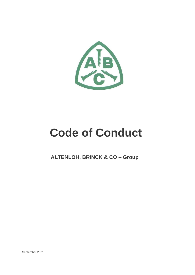

# **Code of Conduct**

**ALTENLOH, BRINCK & CO – Group**

September 2021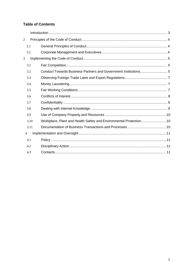# **Table of Contents**

| $\overline{2}$ |      |  |
|----------------|------|--|
|                | 2.1  |  |
|                | 2.2  |  |
| 3              |      |  |
|                | 3.1  |  |
|                | 3.2  |  |
|                | 3.3  |  |
|                | 3.4  |  |
|                | 3.5  |  |
|                | 3.6  |  |
|                | 3.7  |  |
|                | 3.8  |  |
|                | 3.9  |  |
|                | 3.10 |  |
|                | 3.11 |  |
|                | 4    |  |
|                | 4.1  |  |
|                | 4.2  |  |
|                | 4.3  |  |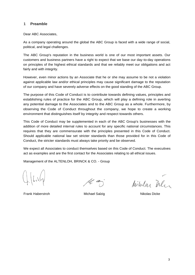# **1 Preamble**

Dear ABC Associates,

As a company operating around the global the ABC Group is faced with a wide range of social, political, and legal challenges.

The ABC Group's reputation in the business world is one of our most important assets. Our customers and business partners have a right to expect that we base our day-to-day operations on principles of the highest ethical standards and that we reliably meet our obligations and act fairly and with integrity.

However, even minor actions by an Associate that he or she may assume to be not a violation against applicable law and/or ethical principles may cause significant damage to the reputation of our company and have severely adverse effects on the good standing of the ABC Group.

The purpose of this Code of Conduct is to contribute towards defining values, principles and establishing rules of practice for the ABC Group, which will play a defining role in averting any potential damage to the Associates and to the ABC Group as a whole. Furthermore, by observing the Code of Conduct throughout the company, we hope to create a working environment that distinguishes itself by integrity and respect towards others.

This Code of Conduct may be supplemented in each of the ABC Group's businesses with the addition of more detailed internal rules to account for any specific national circumstances. This requires that they are commensurate with the principles presented in this Code of Conduct. Should applicable national law set stricter standards than those provided for in this Code of Conduct, the stricter standards must always take priority and be observed.

We expect all Associates to conduct themselves based on this Code of Conduct. The executives act as examples and are the first contact for the Associates relating to all ethical issues.

Management of the ALTENLOH, BRINCK & CO. - Group

ht a

Milular Deler

Frank Haberstroh **Michael Salzig Nikolas Dicke** Nikolas Dicke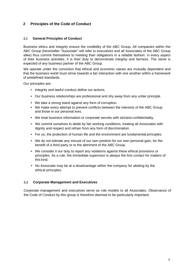# <span id="page-3-0"></span>**2 Principles of the Code of Conduct**

# <span id="page-3-1"></span>**2.1 General Principles of Conduct**

Business ethics and integrity ensure the credibility of the ABC Group. All companies within the ABC Group (hereinafter "Associate" will refer to executives and all Associates of the ABC Group alike) thus commit themselves to meeting their obligations in a reliable fashion. In every aspect of their business activities, it is their duty to demonstrate integrity and fairness. The same is expected of any business partner of the ABC Group.

We operate under the conviction that ethical and economic values are mutually dependent and that the business world must strive towards a fair interaction with one another within a framework of predefined standards.

Our principles are:

- Integrity and lawful conduct define our actions.
- Our business relationships are professional and shy away from any unfair principle.
- We take a strong stand against any form of corruption.
- We make every attempt to prevent conflicts between the interests of the ABC Group and those in our personal lives.
- We treat business information or corporate secrets with strictest confidentiality.
- We commit ourselves to abide by fair working conditions, treating all Associates with dignity and respect and refrain from any form of discrimination.
- For us, the protection of human life and the environment are fundamental principles.
- We do not tolerate any misuse of our own position for our own personal gain, for the benefit of a third party or to the detriment of the ABC Group.
- We consider it our duty to report any violations against these ethical provisions or principles. As a rule, the immediate supervisor is always the first contact for matters of this kind.
- No Associate may be at a disadvantage within the company for abiding by the ethical principles.

#### <span id="page-3-2"></span>**2.2 Corporate Management and Executives**

Corporate management and executives serve as role models to all Associates. Observance of the Code of Conduct by this group is therefore deemed to be particularly important.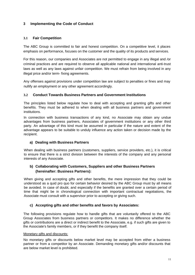# <span id="page-4-0"></span>**3 Implementing the Code of Conduct**

# <span id="page-4-1"></span>**3.1 Fair Competition**

The ABC Group is committed to fair and honest competition. On a competitive level, it places emphasis on performance, focuses on the customer and the quality of its products and services.

For this reason, our companies and Associates are not permitted to engage in any illegal and */*or criminal practices and are required to observe all applicable national and international anti-trust laws as well as any laws against unfair competition. We must refrain from being involved in any illegal price and/or term- fixing agreements.

Any offenses against provisions under competition law are subject to penalties or fines and may nullify an employment or any other agreement accordingly.

# <span id="page-4-2"></span>**3.2 Conduct Towards Business Partners and Government Institutions**

The principles listed below regulate how to deal with accepting and granting gifts and other benefits. They must be adhered to when dealing with all business partners and government institutions.

In connection with business transactions of any kind, no Associate may obtain any undue advantages from business partners, Associates of government institutions or any other third party. An advantage of this kind must be assumed in particular if the nature and extent of the advantage appears to be suitable to unduly influence any action taken or decision made by the recipient.

# **a) Dealing with Business Partners**

When dealing with business partners (customers, suppliers, service providers, etc.), it is critical to ensure that there is a strict division between the interests of the company and any personal interests of any Associate.

# **b) Collaborating with Customers, Suppliers and other Business Partners (hereinafter: Business Partners):**

When giving and accepting gifts and other benefits, the mere impression that they could be understood as a quid pro quo for certain behavior desired by the ABC Group must by all means be avoided. In case of doubt, and especially if the benefits are granted over a certain period of time that might be in chronological connection with important contractual negotiations, the Associate must consult with a supervisor prior to accepting or giving such.

# **c) Accepting gifts and other benefits and favors by Associates:**

The following provisions regulate how to handle gifts that are voluntarily offered to the ABC Group Associates from business partners or competitors. It makes no difference whether the gifts or contributions are a direct or indirect benefit to the Associate, e.g. if such gifts are given to the Associate's family members, or if they benefit the company itself.

#### Monetary gifts and discounts:

No monetary gifts or discounts below market level may be accepted from either a business partner or from a competitor by an Associate. Demanding monetary gifts and/or discounts that are below market level is prohibited.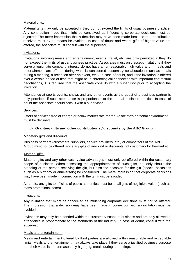#### Material gifts:

Material gifts may only be accepted if they do not exceed the limits of usual business practice. Any contribution made that might be conceived as influencing corporate decisions must be rejected. The mere impression that a decision may have been made because of a contribution received must by all means be avoided. In case of doubt and where gifts of higher value are offered, the Associate must consult with the supervisor.

# Invitations:

Invitations involving meals and entertainment, events, travel, etc. are only permitted if they do not exceed the limits of usual business practice. Associates must only accept invitations if they serve a legitimate company interest, do not have an unreasonably high value and if meals and entertainment are offered during what is considered customary collaboration (such as meals during a meeting, a reception after an event, etc.). In case of doubt, and if the invitation is offered over a certain period of time that might be in chronological connection with important contractual negotiations, it is required that the Associate consults with a supervisor prior to accepting the invitation.

Attendance at sports events, shows and any other events as the guest of a business partner is only permitted if such attendance is proportionate to the normal business practice. In case of doubt the Associate should consult with a supervisor.

# Services:

Offers of services free of charge or below market rate for the Associate's personal environment must be declined.

# **d) Granting gifts and other contributions** */* **discounts by the ABC Group**

#### Monetary gifts and discounts:

Business partners (customers, suppliers, service providers, etc.) or competitors of the ABC Group must not be offered monetary gifts of any kind or discounts not customary for the market.

#### Material gifts:

Material gifts and any other cash-value advantages must only be offered within the customary scope of business. When assessing the appropriateness of such gifts, not only should the standing of the person receiving the gift, but also the occasion for the gift (special occasions such as a birthday or anniversary) be considered. The mere impression that corporate decisions may have been made in connection with the gift must be avoided.

As a rule, any gifts to officials of public authorities must be small gifts of negligible value (such as mass promotional items).

#### Invitations:

Any invitation that might be conceived as influencing corporate decisions must not be offered. The impression that a decision may have been made in connection with an invitation must be avoided.

Invitations may only be extended within the customary scope of business and are only allowed if attendance is proportionate to the standards of the industry. In case of doubt, consult with the supervisor.

#### Meals and entertainment:

Meals and entertainment offered by third parties are allowed within reasonable and acceptable limits. Meals and entertainment may always take place if they serve a justified business purpose and their value is not unreasonably high (e.g. meals during a meeting).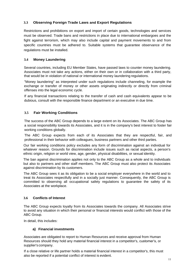# <span id="page-6-0"></span>**3.3 Observing Foreign Trade Laws and Export Regulations**

Restrictions and prohibitions on export and import of certain goods, technologies and services must be observed. Trade bans and restrictions in place due to international embargoes and the fight against terrorism, which may also include capital and payment movements to and from specific countries must be adhered to. Suitable systems that guarantee observance of the regulations must be installed.

# <span id="page-6-1"></span>**3.4 Money Laundering**

Several countries, including EU Member States, have passed laws to counter money laundering. Associates must not take any actions, either on their own or in collaboration with a third party, that would be in violation of national or international money laundering regulations.

"Money laundering" as interpreted under such regulations include channeling, for example the exchange or transfer of money or other assets originating indirectly or directly from criminal offenses into the legal economic cycle.

If any financial transactions relating to the transfer of cash and cash equivalents appear to be dubious, consult with the responsible finance department or an executive in due time.

# <span id="page-6-2"></span>**3.5 Fair Working Conditions**

The success of the ABC Group depends to a large extent on its Associates. The ABC Group has a social responsibility towards its Associates, and it is in the company's best interest to foster fair working conditions globally.

The ABC Group expects from each of its Associates that they are respectful, fair, and professional in their behavior with colleagues, business partners and other third parties.

Our fair working conditions policy excludes any form of discrimination against an individual for whatever reason. Grounds for discrimination include issues such as racial aspects, a person's ethnic origin, religion or world view, age, gender, physical disabilities, or sexual identity.

The ban against discrimination applies not only to the ABC Group as a whole and to individuals but also to partners and other staff members. The ABC Group must also protect its Associates against discrimination by its customers.

The ABC Group sees it as its obligation to be a social employer everywhere in the world and to treat its Associates respectfully and in a socially just manner. Consequently, the ABC Group is committed to observing all occupational safety regulations to guarantee the safety of its Associates at the workplace.

# <span id="page-6-3"></span>**3.6 Conflicts of Interest**

The ABC Group expects loyalty from its Associates towards the company. All Associates strive to avoid any situation in which their personal or financial interests would conflict with those of the ABC Group.

In detail, this includes:

#### **a) Financial investments**

Associates are obligated to report to Human Resources and receive approval from Human Resources should they hold any material financial interest in a competitor's, customer's, or supplier's company.

If a close relative or life partner holds a material financial interest in a competitor's, this must also be reported if a potential conflict of interest is evident.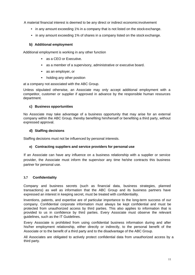A material financial interest is deemed to be any direct or indirect economicinvolvement

- in any amount exceeding 1% in a company that is not listed on the stock exchange.
- in any amount exceeding 1% of shares in a company listed on the stock exchange.

# **b) Additional employment**

Additional employment is working in any other function

- as a CEO or Executive.
- as a member of a supervisory, administrative or executive board.
- as an employer, or
- holding any other position

at a company not associated with the ABC Group.

Unless stipulated otherwise, an Associate may only accept additional employment with a competitor, customer or supplier if approved in advance by the responsible human resources department.

# **c) Business opportunities**

No Associate may take advantage of a business opportunity that may arise for an external company within the ABC Group, thereby benefiting him/herself or benefiting a third party, without expressed approval.

# **d) Staffing decisions**

Staffing decisions must not be influenced by personal interests.

#### **e) Contracting suppliers and service providers for personal use**

If an Associate can have any influence on a business relationship with a supplier or service provider, the Associate must inform the supervisor any time he/she contracts this business partner for personal use.

# <span id="page-7-0"></span>**3.7 Confidentiality**

Company and business secrets (such as financial data, business strategies, planned transactions) as well as information that the ABC Group and its business partners have expressed an interest in keeping secret, must be treated with confidentiality.

Inventions, patents, and expertise are of particular importance to the long-term success of our company. Confidential corporate information must always be kept confidential and must be protected from unauthorized access by third parties. This also applies to information that is provided to us in confidence by third parties. Every Associate must observe the relevant guidelines, such as the IT Guidelines.

Every Associate is prohibited from using confidential business information during and after his/her employment relationship, either directly or indirectly, to the personal benefit of the Associate or to the benefit of a third party and to the disadvantage of the ABC Group.

All Associates are obligated to actively protect confidential data from unauthorized access by a third party.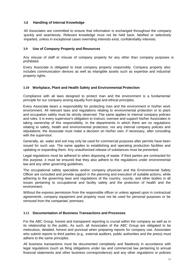# <span id="page-8-0"></span>**3.8 Handling of Internal Knowledge**

All Associates are committed to ensure that information is exchanged throughout the company quickly and seamlessly. Relevant knowledge must not be held back, falsified or selectively imparted, unless in exceptional cases overriding interests exist, confidentiality interests.

# <span id="page-8-1"></span>**3.9 Use of Company Property and Resources**

Any misuse of staff or misuse of company property for any other than company purposes is prohibited.

Every Associate is obligated to treat company property responsibly. Company property also includes communication devices as well as intangible assets such as expertise and industrial property rights.

# <span id="page-8-2"></span>**3.10 Workplace, Plant and Health Safety and Environmental Protection**

Compliance with all laws designed to protect man and the environment is a fundamental principle for our company arising equally from legal and ethical principles.

Every Associate bears a responsibility for protecting man and the environment in his/her work environment. All relevant laws and regulations relating to environmental protection or to plant and occupation safety must be strictly observed. The same applies to internal company policies and rules. It is every supervisor's obligation to instruct, oversee and support his/her Associates in taking ownership of this responsibility. In the departments in which there are no regulations relating to safety, health and environmental protection, nor any internal company policies and stipulations, the Associate must make a decision on his/her own, if necessary, after consulting with the supervisor.

Generally, air, water and soil may only be used for commercial purposes after permits have been issued for such use. The same applies to establishing and operating production facilities and updating or expanding them. Any unauthorized release of substances must be prevented.

Legal regulations must be adhered to when disposing of waste. If third parties are contracted for this purpose, it must be ensured that they also adhere to the regulations under environmental law and any other governing guidelines.

The occupational safety specialists and/or company physician and the Environmental Safety Officer are consulted and provide support in the planning and execution of suitable actions, while adhering to the governing laws and regulations of the country, county, and other bodies in all issues pertaining to occupational and facility safety and the protection of health and the environment.

Without the express permission from the responsible officer or unless agreed upon in contractual agreements, company equipment and property must not be used for personal purposes or be removed from the companies' premises.

# <span id="page-8-3"></span>**3.11 Documentation of Business Transactions and Processes**

For the ABC Group, honest and transparent reporting is crucial within the company as well as in its relationship to the public. As such, all Associates of the ABC Group are obligated to be meticulous, detailed, honest and punctual when preparing reports for company use. Associates who submit reports to third parties (e.g., external auditors, public authorities and the press) must adhere to the same principles.

All business transactions must be documented completely and flawlessly in accordance with legal regulations (such as filing obligations under tax and commercial law pertaining to annual financial statements and other business correspondence) and any other regulations or policies